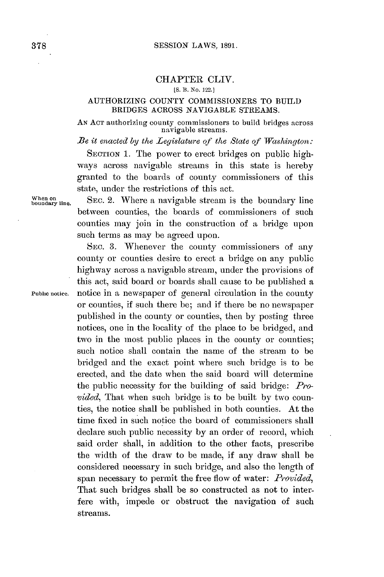## CHAPTER CLIV.

## **[S. 13. No.** 122.}

## **AUTHORIZING COUNTY COMMISSIONERS** TO **BUILD** BRIDGES ACROSS **NAVIGABLE** STREAMS.

**AN ACT** authorizing county commissioners to build bridges across navigable streams.

*Be it enacted by the Legislature of the State of Washington:*

SECTION 1. The power to erect bridges on public highways across navigable streams in this state is hereby granted to the boards of county commissioners of this state, under the restrictions of this act.

bodry **line.** SEC. 2. Where a navigable stream is the boundary line between counties, the boards of commissioners of such counties may join in the construction of a bridge upon such terms as may be agreed upon.

**SEC. 3.** Whenever the county commissioners of any county or counties desire to erect a bridge on any public highway across a navigable stream, under the provisions of this act, said board or boards shall cause to be published a **Public notice.** notice in a newspaper of general circulation in the county or counties, if such there be; and if there be no newspaper published in the county or counties, then **by** posting three notices, one in the locality of the place to be bridged, and two in the most public places in the county or counties; such notice shall contain the name of the stream to **be** bridged and the exact point where such bridge is to be erected, and the date when the said board will determine the public necessity for the building of said bridge: *Provided,* That when such bridge is to be built **by** two counties, the notice shall **be** published in both counties. At the time fixed in such notice the board of commissioners shall declare such public necessity **by** an order of record, which said order shall, in addition to the other facts, prescribe the width of the draw to be made, if any draw shall be considered necessary in such bridge, and also the length of span necessary to permit the free flow of water: *Provided,* That such bridges shall be so constructed as not to interfere with, impede or obstruct the navigation of such streams.